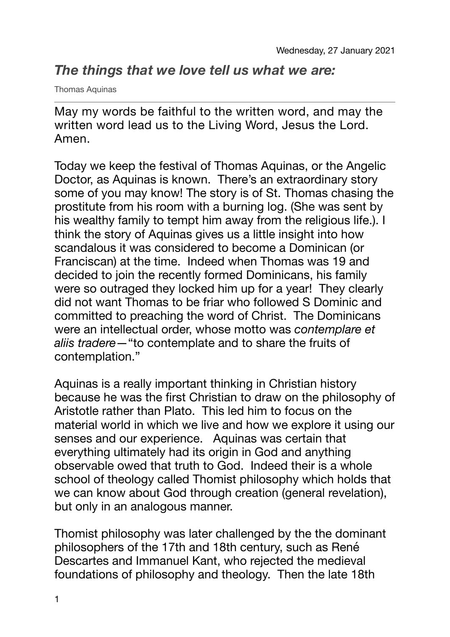## *The things that we love tell us what we are:*

Thomas Aquinas

May my words be faithful to the written word, and may the written word lead us to the Living Word, Jesus the Lord. Amen.

Today we keep the festival of Thomas Aquinas, or the Angelic Doctor, as Aquinas is known. There's an extraordinary story some of you may know! The story is of St. Thomas chasing the prostitute from his room with a burning log. (She was sent by his wealthy family to tempt him away from the religious life.). I think the story of Aquinas gives us a little insight into how scandalous it was considered to become a Dominican (or Franciscan) at the time. Indeed when Thomas was 19 and decided to join the recently formed Dominicans, his family were so outraged they locked him up for a year! They clearly did not want Thomas to be friar who followed S Dominic and committed to preaching the word of Christ. The Dominicans were an intellectual order, whose motto was *contemplare et aliis tradere*—"to contemplate and to share the fruits of contemplation."

Aquinas is a really important thinking in Christian history because he was the first Christian to draw on the philosophy of Aristotle rather than Plato. This led him to focus on the material world in which we live and how we explore it using our senses and our experience. Aquinas was certain that everything ultimately had its origin in God and anything observable owed that truth to God. Indeed their is a whole school of theology called Thomist philosophy which holds that we can know about God through creation (general revelation), but only in an analogous manner.

Thomist philosophy was later challenged by the the dominant philosophers of the 17th and 18th century, such as René Descartes and Immanuel Kant, who rejected the medieval foundations of philosophy and theology. Then the late 18th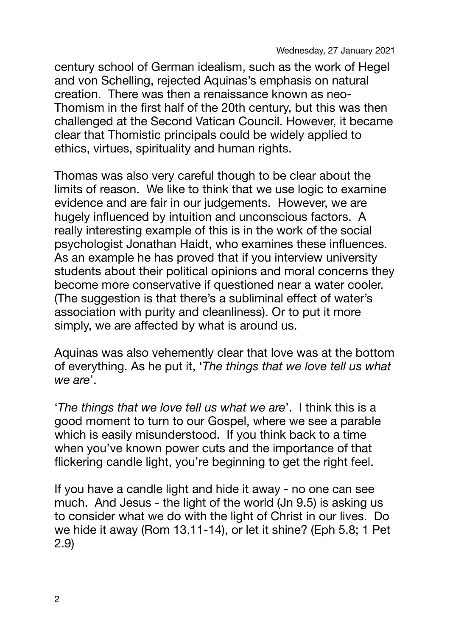Wednesday, 27 January 2021

century school of German idealism, such as the work of Hegel and von Schelling, rejected Aquinas's emphasis on natural creation. There was then a renaissance known as neo-Thomism in the first half of the 20th century, but this was then challenged at the Second Vatican Council. However, it became clear that Thomistic principals could be widely applied to ethics, virtues, spirituality and human rights.

Thomas was also very careful though to be clear about the limits of reason. We like to think that we use logic to examine evidence and are fair in our judgements. However, we are hugely influenced by intuition and unconscious factors. A really interesting example of this is in the work of the social psychologist Jonathan Haidt, who examines these influences. As an example he has proved that if you interview university students about their political opinions and moral concerns they become more conservative if questioned near a water cooler. (The suggestion is that there's a subliminal effect of water's association with purity and cleanliness). Or to put it more simply, we are affected by what is around us.

Aquinas was also vehemently clear that love was at the bottom of everything. As he put it, '*The things that we love tell us what we are*'.

'*The things that we love tell us what we are*'. I think this is a good moment to turn to our Gospel, where we see a parable which is easily misunderstood. If you think back to a time when you've known power cuts and the importance of that flickering candle light, you're beginning to get the right feel.

If you have a candle light and hide it away - no one can see much. And Jesus - the light of the world (Jn 9.5) is asking us to consider what we do with the light of Christ in our lives. Do we hide it away (Rom 13.11-14), or let it shine? (Eph 5.8; 1 Pet 2.9)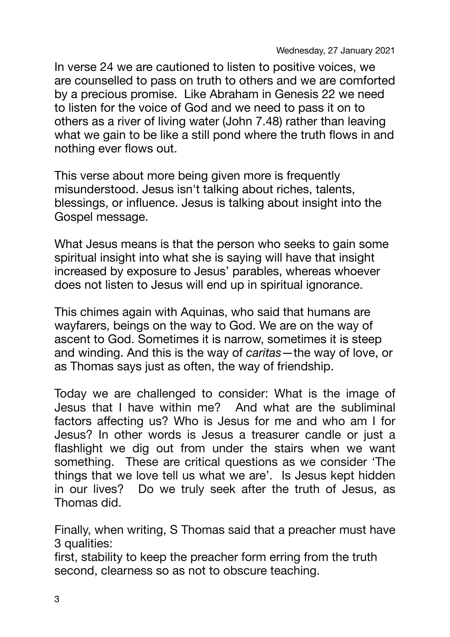In verse 24 we are cautioned to listen to positive voices, we are counselled to pass on truth to others and we are comforted by a precious promise. Like Abraham in Genesis 22 we need to listen for the voice of God and we need to pass it on to others as a river of living water (John 7.48) rather than leaving what we gain to be like a still pond where the truth flows in and nothing ever flows out.

This verse about more being given more is frequently misunderstood. Jesus isn't talking about riches, talents, blessings, or influence. Jesus is talking about insight into the Gospel message.

What Jesus means is that the person who seeks to gain some spiritual insight into what she is saying will have that insight increased by exposure to Jesus' parables, whereas whoever does not listen to Jesus will end up in spiritual ignorance.

This chimes again with Aquinas, who said that humans are wayfarers, beings on the way to God. We are on the way of ascent to God. Sometimes it is narrow, sometimes it is steep and winding. And this is the way of *caritas*—the way of love, or as Thomas says just as often, the way of friendship.

Today we are challenged to consider: What is the image of Jesus that I have within me? And what are the subliminal factors affecting us? Who is Jesus for me and who am I for Jesus? In other words is Jesus a treasurer candle or just a flashlight we dig out from under the stairs when we want something. These are critical questions as we consider 'The things that we love tell us what we are'. Is Jesus kept hidden in our lives? Do we truly seek after the truth of Jesus, as Thomas did.

Finally, when writing, S Thomas said that a preacher must have 3 qualities:

first, stability to keep the preacher form erring from the truth second, clearness so as not to obscure teaching.